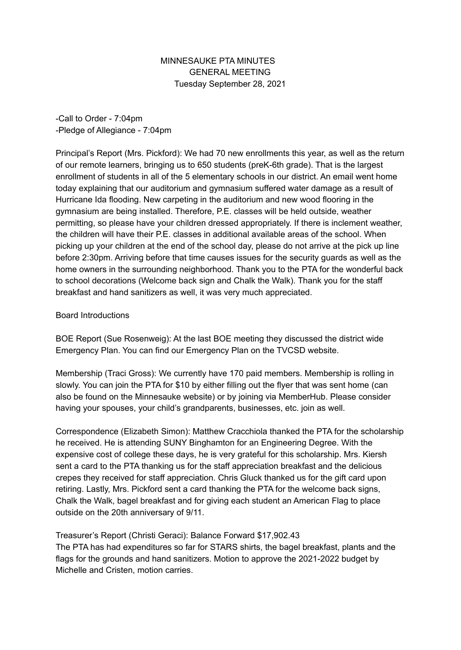## MINNESAUKE PTA MINUTES GENERAL MEETING Tuesday September 28, 2021

-Call to Order - 7:04pm -Pledge of Allegiance - 7:04pm

Principal's Report (Mrs. Pickford): We had 70 new enrollments this year, as well as the return of our remote learners, bringing us to 650 students (preK-6th grade). That is the largest enrollment of students in all of the 5 elementary schools in our district. An email went home today explaining that our auditorium and gymnasium suffered water damage as a result of Hurricane Ida flooding. New carpeting in the auditorium and new wood flooring in the gymnasium are being installed. Therefore, P.E. classes will be held outside, weather permitting, so please have your children dressed appropriately. If there is inclement weather, the children will have their P.E. classes in additional available areas of the school. When picking up your children at the end of the school day, please do not arrive at the pick up line before 2:30pm. Arriving before that time causes issues for the security guards as well as the home owners in the surrounding neighborhood. Thank you to the PTA for the wonderful back to school decorations (Welcome back sign and Chalk the Walk). Thank you for the staff breakfast and hand sanitizers as well, it was very much appreciated.

## Board Introductions

BOE Report (Sue Rosenweig): At the last BOE meeting they discussed the district wide Emergency Plan. You can find our Emergency Plan on the TVCSD website.

Membership (Traci Gross): We currently have 170 paid members. Membership is rolling in slowly. You can join the PTA for \$10 by either filling out the flyer that was sent home (can also be found on the Minnesauke website) or by joining via MemberHub. Please consider having your spouses, your child's grandparents, businesses, etc. join as well.

Correspondence (Elizabeth Simon): Matthew Cracchiola thanked the PTA for the scholarship he received. He is attending SUNY Binghamton for an Engineering Degree. With the expensive cost of college these days, he is very grateful for this scholarship. Mrs. Kiersh sent a card to the PTA thanking us for the staff appreciation breakfast and the delicious crepes they received for staff appreciation. Chris Gluck thanked us for the gift card upon retiring. Lastly, Mrs. Pickford sent a card thanking the PTA for the welcome back signs, Chalk the Walk, bagel breakfast and for giving each student an American Flag to place outside on the 20th anniversary of 9/11.

## Treasurer's Report (Christi Geraci): Balance Forward \$17,902.43

The PTA has had expenditures so far for STARS shirts, the bagel breakfast, plants and the flags for the grounds and hand sanitizers. Motion to approve the 2021-2022 budget by Michelle and Cristen, motion carries.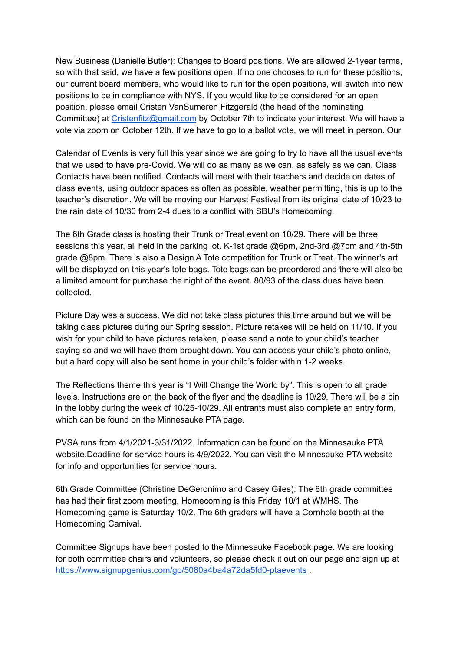New Business (Danielle Butler): Changes to Board positions. We are allowed 2-1year terms, so with that said, we have a few positions open. If no one chooses to run for these positions, our current board members, who would like to run for the open positions, will switch into new positions to be in compliance with NYS. If you would like to be considered for an open position, please email Cristen VanSumeren Fitzgerald (the head of the nominating Committee) at [Cristenfitz@gmail.com](mailto:Cristenfitz@gmail.com) by October 7th to indicate your interest. We will have a vote via zoom on October 12th. If we have to go to a ballot vote, we will meet in person. Our

Calendar of Events is very full this year since we are going to try to have all the usual events that we used to have pre-Covid. We will do as many as we can, as safely as we can. Class Contacts have been notified. Contacts will meet with their teachers and decide on dates of class events, using outdoor spaces as often as possible, weather permitting, this is up to the teacher's discretion. We will be moving our Harvest Festival from its original date of 10/23 to the rain date of 10/30 from 2-4 dues to a conflict with SBU's Homecoming.

The 6th Grade class is hosting their Trunk or Treat event on 10/29. There will be three sessions this year, all held in the parking lot. K-1st grade @6pm, 2nd-3rd @7pm and 4th-5th grade @8pm. There is also a Design A Tote competition for Trunk or Treat. The winner's art will be displayed on this year's tote bags. Tote bags can be preordered and there will also be a limited amount for purchase the night of the event. 80/93 of the class dues have been collected.

Picture Day was a success. We did not take class pictures this time around but we will be taking class pictures during our Spring session. Picture retakes will be held on 11/10. If you wish for your child to have pictures retaken, please send a note to your child's teacher saying so and we will have them brought down. You can access your child's photo online, but a hard copy will also be sent home in your child's folder within 1-2 weeks.

The Reflections theme this year is "I Will Change the World by". This is open to all grade levels. Instructions are on the back of the flyer and the deadline is 10/29. There will be a bin in the lobby during the week of 10/25-10/29. All entrants must also complete an entry form, which can be found on the Minnesauke PTA page.

PVSA runs from 4/1/2021-3/31/2022. Information can be found on the Minnesauke PTA website.Deadline for service hours is 4/9/2022. You can visit the Minnesauke PTA website for info and opportunities for service hours.

6th Grade Committee (Christine DeGeronimo and Casey Giles): The 6th grade committee has had their first zoom meeting. Homecoming is this Friday 10/1 at WMHS. The Homecoming game is Saturday 10/2. The 6th graders will have a Cornhole booth at the Homecoming Carnival.

Committee Signups have been posted to the Minnesauke Facebook page. We are looking for both committee chairs and volunteers, so please check it out on our page and sign up at <https://www.signupgenius.com/go/5080a4ba4a72da5fd0-ptaevents>